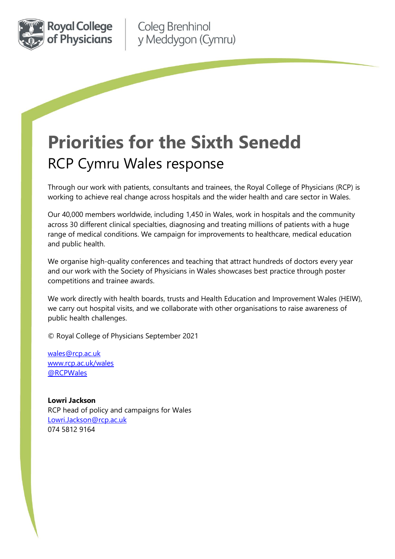

# **Priorities for the Sixth Senedd**  RCP Cymru Wales response

Through our work with patients, consultants and trainees, the Royal College of Physicians (RCP) is working to achieve real change across hospitals and the wider health and care sector in Wales.

Our 40,000 members worldwide, including 1,450 in Wales, work in hospitals and the community across 30 different clinical specialties, diagnosing and treating millions of patients with a huge range of medical conditions. We campaign for improvements to healthcare, medical education and public health.

We organise high-quality conferences and teaching that attract hundreds of doctors every year and our work with the Society of Physicians in Wales showcases best practice through poster competitions and trainee awards.

We work directly with health boards, trusts and Health Education and Improvement Wales (HEIW), we carry out hospital visits, and we collaborate with other organisations to raise awareness of public health challenges.

© Royal College of Physicians September 2021

[wales@rcp.ac.uk](mailto:wales@rcp.ac.uk) [www.rcp.ac.uk/wales](http://www.rcp.ac.uk/wales) [@RCPWales](https://twitter.com/rcpwales)

**Lowri Jackson** RCP head of policy and campaigns for Wales [Lowri.Jackson@rcp.ac.uk](mailto:Lowri.Jackson@rcp.ac.uk) 074 5812 9164